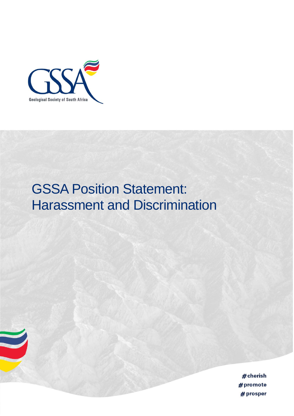

## **GSSA Position Statement:** Harassment and Discrimination

# cherish #promote  $#$  prosper